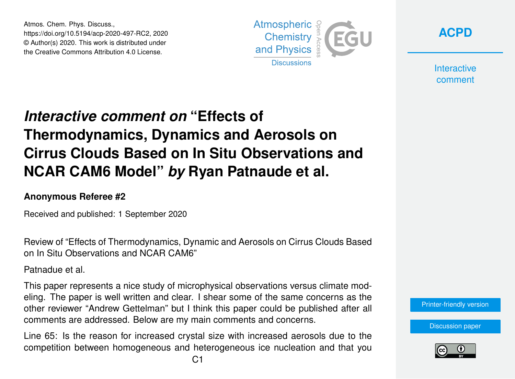Atmos. Chem. Phys. Discuss., https://doi.org/10.5194/acp-2020-497-RC2, 2020 © Author(s) 2020. This work is distributed under the Creative Commons Attribution 4.0 License.





**Interactive** comment

## *Interactive comment on* **"Effects of Thermodynamics, Dynamics and Aerosols on Cirrus Clouds Based on In Situ Observations and NCAR CAM6 Model"** *by* **Ryan Patnaude et al.**

## **Anonymous Referee #2**

Received and published: 1 September 2020

Review of "Effects of Thermodynamics, Dynamic and Aerosols on Cirrus Clouds Based on In Situ Observations and NCAR CAM6"

Patnadue et al.

This paper represents a nice study of microphysical observations versus climate modeling. The paper is well written and clear. I shear some of the same concerns as the other reviewer "Andrew Gettelman" but I think this paper could be published after all comments are addressed. Below are my main comments and concerns.

Line 65: Is the reason for increased crystal size with increased aerosols due to the competition between homogeneous and heterogeneous ice nucleation and that you

[Printer-friendly version](https://acp.copernicus.org/preprints/acp-2020-497/acp-2020-497-RC2-print.pdf)

[Discussion paper](https://acp.copernicus.org/preprints/acp-2020-497)

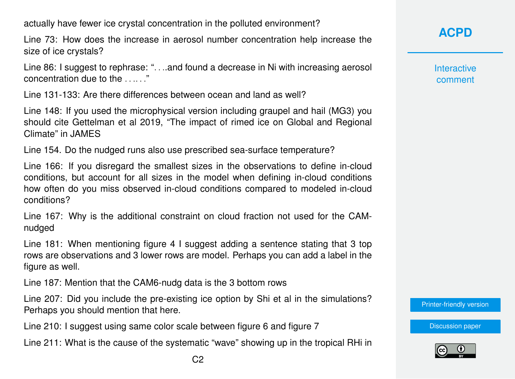actually have fewer ice crystal concentration in the polluted environment?

Line 73: How does the increase in aerosol number concentration help increase the size of ice crystals?

Line 86: I suggest to rephrase: ". . ..and found a decrease in Ni with increasing aerosol concentration due to the . . .. . ."

Line 131-133: Are there differences between ocean and land as well?

Line 148: If you used the microphysical version including graupel and hail (MG3) you should cite Gettelman et al 2019, "The impact of rimed ice on Global and Regional Climate" in JAMES

Line 154. Do the nudged runs also use prescribed sea-surface temperature?

Line 166: If you disregard the smallest sizes in the observations to define in-cloud conditions, but account for all sizes in the model when defining in-cloud conditions how often do you miss observed in-cloud conditions compared to modeled in-cloud conditions?

Line 167: Why is the additional constraint on cloud fraction not used for the CAMnudged

Line 181: When mentioning figure 4 I suggest adding a sentence stating that 3 top rows are observations and 3 lower rows are model. Perhaps you can add a label in the figure as well.

Line 187: Mention that the CAM6-nudg data is the 3 bottom rows

Line 207: Did you include the pre-existing ice option by Shi et al in the simulations? Perhaps you should mention that here.

Line 210: I suggest using same color scale between figure 6 and figure 7

Line 211: What is the cause of the systematic "wave" showing up in the tropical RHi in

**Interactive** comment

[Printer-friendly version](https://acp.copernicus.org/preprints/acp-2020-497/acp-2020-497-RC2-print.pdf)

[Discussion paper](https://acp.copernicus.org/preprints/acp-2020-497)